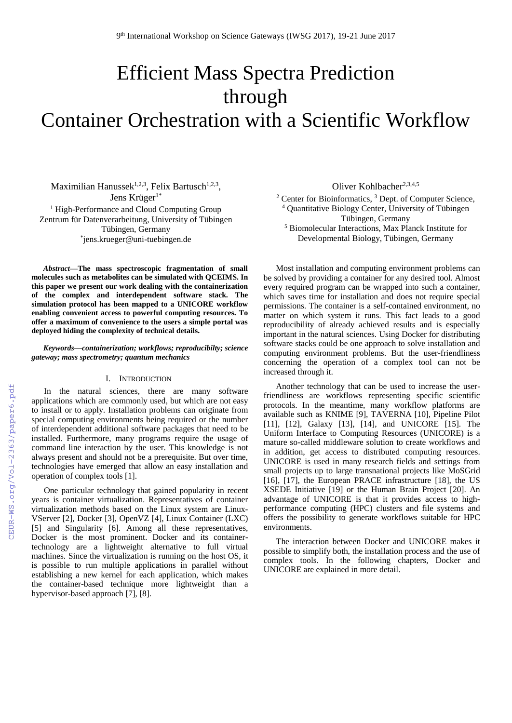# Efficient Mass Spectra Prediction through Container Orchestration with a Scientific Workflow

Maximilian Hanussek<sup>1,2,3</sup>, Felix Bartusch<sup>1,2,3</sup>, Jens Krüger<sup>1\*</sup> <sup>1</sup> High-Performance and Cloud Computing Group Zentrum für Datenverarbeitung, University of Tübingen Tübingen, Germany \* jens.krueger@uni-tuebingen.de

*Abstract***—The mass spectroscopic fragmentation of small molecules such as metabolites can be simulated with QCEIMS. In this paper we present our work dealing with the containerization of the complex and interdependent software stack. The simulation protocol has been mapped to a UNICORE workflow enabling convenient access to powerful computing resources. To offer a maximum of convenience to the users a simple portal was deployed hiding the complexity of technical details.**

# *Keywords—containerization; workflows; reproducibilty; science gateway; mass spectrometry; quantum mechanics*

# I. INTRODUCTION

In the natural sciences, there are many software applications which are commonly used, but which are not easy to install or to apply. Installation problems can originate from special computing environments being required or the number of interdependent additional software packages that need to be installed. Furthermore, many programs require the usage of command line interaction by the user. This knowledge is not always present and should not be a prerequisite. But over time, technologies have emerged that allow an easy installation and operation of complex tools [1].

One particular technology that gained popularity in recent years is container virtualization. Representatives of container virtualization methods based on the Linux system are Linux-VServer [2], Docker [3], OpenVZ [4], Linux Container (LXC) [5] and Singularity [6]. Among all these representatives, Docker is the most prominent. Docker and its containertechnology are a lightweight alternative to full virtual machines. Since the virtualization is running on the host OS, it is possible to run multiple applications in parallel without establishing a new kernel for each application, which makes the container-based technique more lightweight than a hypervisor-based approach [7], [8].

Oliver Kohlbacher<sup>2,3,4,5</sup>

 $2$  Center for Bioinformatics,  $3$  Dept. of Computer Science, <sup>4</sup> Quantitative Biology Center, University of Tübingen Tübingen, Germany <sup>5</sup> Biomolecular Interactions, Max Planck Institute for Developmental Biology, Tübingen, Germany

Most installation and computing environment problems can be solved by providing a container for any desired tool. Almost every required program can be wrapped into such a container, which saves time for installation and does not require special permissions. The container is a self-contained environment, no matter on which system it runs. This fact leads to a good reproducibility of already achieved results and is especially important in the natural sciences. Using Docker for distributing software stacks could be one approach to solve installation and computing environment problems. But the user-friendliness concerning the operation of a complex tool can not be increased through it.

Another technology that can be used to increase the userfriendliness are workflows representing specific scientific protocols. In the meantime, many workflow platforms are available such as KNIME [9], TAVERNA [10], Pipeline Pilot [11], [12], Galaxy [13], [14], and UNICORE [15]. The Uniform Interface to Computing Resources (UNICORE) is a mature so-called middleware solution to create workflows and in addition, get access to distributed computing resources. UNICORE is used in many research fields and settings from small projects up to large transnational projects like MoSGrid [16], [17], the European PRACE infrastructure [18], the US XSEDE Initiative [19] or the Human Brain Project [20]. An advantage of UNICORE is that it provides access to highperformance computing (HPC) clusters and file systems and offers the possibility to generate workflows suitable for HPC environments.

The interaction between Docker and UNICORE makes it possible to simplify both, the installation process and the use of complex tools. In the following chapters, Docker and UNICORE are explained in more detail.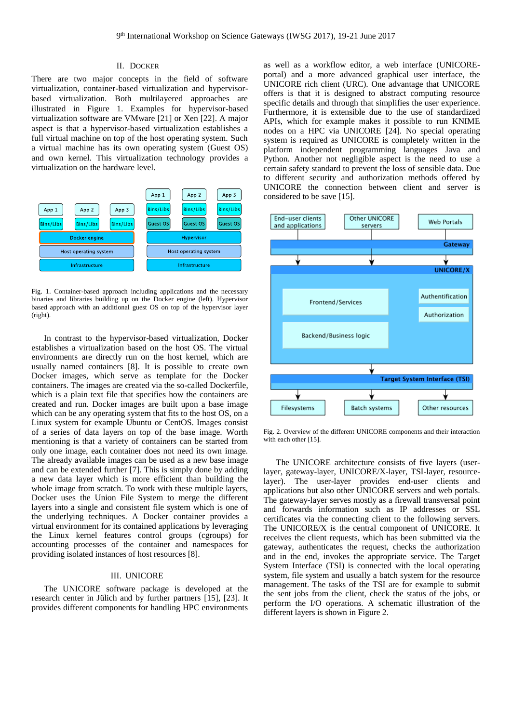# II. DOCKER

There are two major concepts in the field of software virtualization, container-based virtualization and hypervisorbased virtualization. Both multilayered approaches are illustrated in Figure 1. Examples for hypervisor-based virtualization software are VMware [21] or Xen [22]. A major aspect is that a hypervisor-based virtualization establishes a full virtual machine on top of the host operating system. Such a virtual machine has its own operating system (Guest OS) and own kernel. This virtualization technology provides a virtualization on the hardware level.



Fig. 1. Container-based approach including applications and the necessary binaries and libraries building up on the Docker engine (left). Hypervisor based approach with an additional guest OS on top of the hypervisor layer (right).

In contrast to the hypervisor-based virtualization, Docker establishes a virtualization based on the host OS. The virtual environments are directly run on the host kernel, which are usually named containers [8]. It is possible to create own Docker images, which serve as template for the Docker containers. The images are created via the so-called Dockerfile, which is a plain text file that specifies how the containers are created and run. Docker images are built upon a base image which can be any operating system that fits to the host OS, on a Linux system for example Ubuntu or CentOS. Images consist of a series of data layers on top of the base image. Worth mentioning is that a variety of containers can be started from only one image, each container does not need its own image. The already available images can be used as a new base image and can be extended further [7]. This is simply done by adding a new data layer which is more efficient than building the whole image from scratch. To work with these multiple layers, Docker uses the Union File System to merge the different layers into a single and consistent file system which is one of the underlying techniques. A Docker container provides a virtual environment for its contained applications by leveraging the Linux kernel features control groups (cgroups) for accounting processes of the container and namespaces for providing isolated instances of host resources [8].

#### III. UNICORE

The UNICORE software package is developed at the research center in Jülich and by further partners [15], [23]. It provides different components for handling HPC environments

as well as a workflow editor, a web interface (UNICOREportal) and a more advanced graphical user interface, the UNICORE rich client (URC). One advantage that UNICORE offers is that it is designed to abstract computing resource specific details and through that simplifies the user experience. Furthermore, it is extensible due to the use of standardized APIs, which for example makes it possible to run KNIME nodes on a HPC via UNICORE [24]. No special operating system is required as UNICORE is completely written in the platform independent programming languages Java and Python. Another not negligible aspect is the need to use a certain safety standard to prevent the loss of sensible data. Due to different security and authorization methods offered by UNICORE the connection between client and server is considered to be save [15].



Fig. 2. Overview of the different UNICORE components and their interaction with each other [15].

The UNICORE architecture consists of five layers (userlayer, gateway-layer, UNICORE/X-layer, TSI-layer, resourcelayer). The user-layer provides end-user clients and applications but also other UNICORE servers and web portals. The gateway-layer serves mostly as a firewall transversal point and forwards information such as IP addresses or SSL certificates via the connecting client to the following servers. The UNICORE/X is the central component of UNICORE. It receives the client requests, which has been submitted via the gateway, authenticates the request, checks the authorization and in the end, invokes the appropriate service. The Target System Interface (TSI) is connected with the local operating system, file system and usually a batch system for the resource management. The tasks of the TSI are for example to submit the sent jobs from the client, check the status of the jobs, or perform the I/O operations. A schematic illustration of the different layers is shown in Figure 2.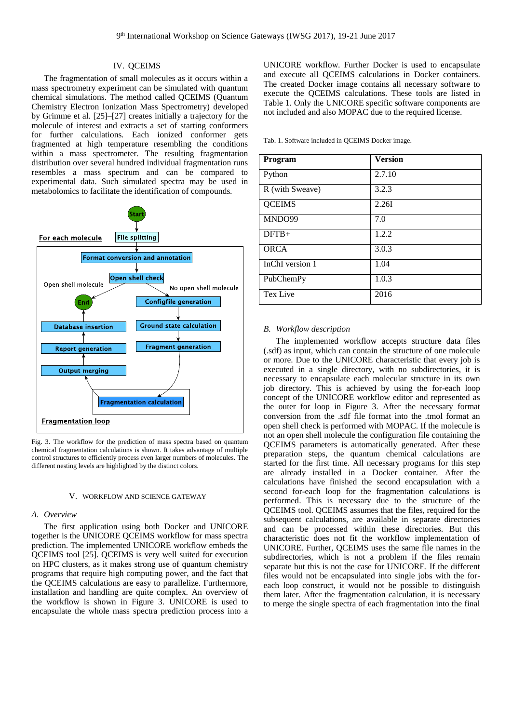# IV. QCEIMS

The fragmentation of small molecules as it occurs within a mass spectrometry experiment can be simulated with quantum chemical simulations. The method called QCEIMS (Quantum Chemistry Electron Ionization Mass Spectrometry) developed by Grimme et al. [25]–[27] creates initially a trajectory for the molecule of interest and extracts a set of starting conformers for further calculations. Each ionized conformer gets fragmented at high temperature resembling the conditions within a mass spectrometer. The resulting fragmentation distribution over several hundred individual fragmentation runs resembles a mass spectrum and can be compared to experimental data. Such simulated spectra may be used in metabolomics to facilitate the identification of compounds.



Fig. 3. The workflow for the prediction of mass spectra based on quantum chemical fragmentation calculations is shown. It takes advantage of multiple control structures to efficiently process even larger numbers of molecules. The different nesting levels are highlighted by the distinct colors.

# V. WORKFLOW AND SCIENCE GATEWAY

#### *A. Overview*

The first application using both Docker and UNICORE together is the UNICORE QCEIMS workflow for mass spectra prediction. The implemented UNICORE workflow embeds the QCEIMS tool [25]. QCEIMS is very well suited for execution on HPC clusters, as it makes strong use of quantum chemistry programs that require high computing power, and the fact that the QCEIMS calculations are easy to parallelize. Furthermore, installation and handling are quite complex. An overview of the workflow is shown in Figure 3. UNICORE is used to encapsulate the whole mass spectra prediction process into a

UNICORE workflow. Further Docker is used to encapsulate and execute all QCEIMS calculations in Docker containers. The created Docker image contains all necessary software to execute the QCEIMS calculations. These tools are listed in Table 1. Only the UNICORE specific software components are not included and also MOPAC due to the required license.

Tab. 1. Software included in QCEIMS Docker image.

| Program         | <b>Version</b> |
|-----------------|----------------|
| Python          | 2.7.10         |
| R (with Sweave) | 3.2.3          |
| <b>QCEIMS</b>   | 2.26I          |
| MNDO99          | 7.0            |
| $DFTB+$         | 1.2.2          |
| <b>ORCA</b>     | 3.0.3          |
| InChI version 1 | 1.04           |
| PubChemPy       | 1.0.3          |
| Tex Live        | 2016           |

#### *B. Workflow description*

The implemented workflow accepts structure data files (.sdf) as input, which can contain the structure of one molecule or more. Due to the UNICORE characteristic that every job is executed in a single directory, with no subdirectories, it is necessary to encapsulate each molecular structure in its own job directory. This is achieved by using the for-each loop concept of the UNICORE workflow editor and represented as the outer for loop in Figure 3. After the necessary format conversion from the .sdf file format into the .tmol format an open shell check is performed with MOPAC. If the molecule is not an open shell molecule the configuration file containing the QCEIMS parameters is automatically generated. After these preparation steps, the quantum chemical calculations are started for the first time. All necessary programs for this step are already installed in a Docker container. After the calculations have finished the second encapsulation with a second for-each loop for the fragmentation calculations is performed. This is necessary due to the structure of the QCEIMS tool. QCEIMS assumes that the files, required for the subsequent calculations, are available in separate directories and can be processed within these directories. But this characteristic does not fit the workflow implementation of UNICORE. Further, QCEIMS uses the same file names in the subdirectories, which is not a problem if the files remain separate but this is not the case for UNICORE. If the different files would not be encapsulated into single jobs with the foreach loop construct, it would not be possible to distinguish them later. After the fragmentation calculation, it is necessary to merge the single spectra of each fragmentation into the final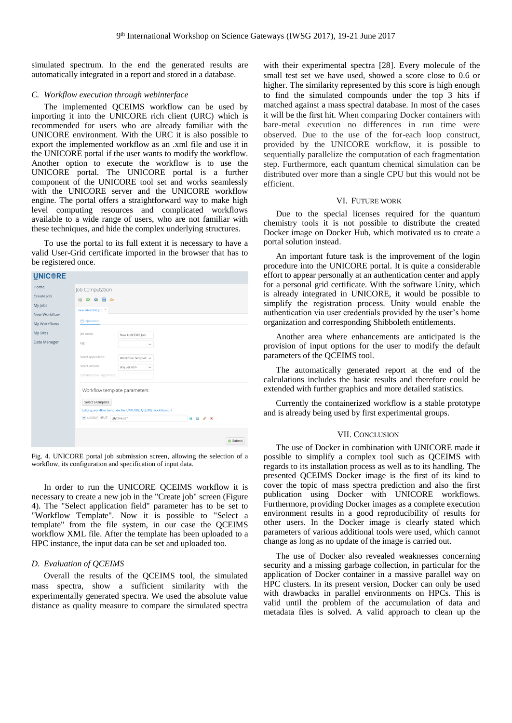simulated spectrum. In the end the generated results are automatically integrated in a report and stored in a database.

## *C. Workflow execution through webinterface*

The implemented QCEIMS workflow can be used by importing it into the UNICORE rich client (URC) which is recommended for users who are already familiar with the UNICORE environment. With the URC it is also possible to export the implemented workflow as an .xml file and use it in the UNICORE portal if the user wants to modify the workflow. Another option to execute the workflow is to use the UNICORE portal. The UNICORE portal is a further component of the UNICORE tool set and works seamlessly with the UNICORE server and the UNICORE workflow engine. The portal offers a straightforward way to make high level computing resources and complicated workflows available to a wide range of users, who are not familiar with these techniques, and hide the complex underlying structures.

To use the portal to its full extent it is necessary to have a valid User-Grid certificate imported in the browser that has to be registered once.

#### **UNICRE** lob Computation Create Job My lobs New UNICORE Job X New Workflov Application My Workflows My Sites lob name New UNICORE Job Data Manager Tag Select application Workflow Templat Select varcion Workflow template parameters Select a template Editing workflow template file: UNICORE\_QCEIMS\_workflow.xm splitSdf\_INPUT: glycine.sdf  $\bullet$   $\bullet$   $\bullet$   $\star$  $\bullet$  Submit

Fig. 4. UNICORE portal job submission screen, allowing the selection of a workflow, its configuration and specification of input data.

In order to run the UNICORE QCEIMS workflow it is necessary to create a new job in the "Create job" screen (Figure 4). The "Select application field" parameter has to be set to "Workflow Template". Now it is possible to "Select a template" from the file system, in our case the QCEIMS workflow XML file. After the template has been uploaded to a HPC instance, the input data can be set and uploaded too.

# *D. Evaluation of QCEIMS*

Overall the results of the QCEIMS tool, the simulated mass spectra, show a sufficient similarity with the experimentally generated spectra. We used the absolute value distance as quality measure to compare the simulated spectra

with their experimental spectra [28]. Every molecule of the small test set we have used, showed a score close to 0.6 or higher. The similarity represented by this score is high enough to find the simulated compounds under the top 3 hits if matched against a mass spectral database. In most of the cases it will be the first hit. When comparing Docker containers with bare-metal execution no differences in run time were observed. Due to the use of the for-each loop construct, provided by the UNICORE workflow, it is possible to sequentially parallelize the computation of each fragmentation step. Furthermore, each quantum chemical simulation can be distributed over more than a single CPU but this would not be efficient.

#### VI. FUTURE WORK

Due to the special licenses required for the quantum chemistry tools it is not possible to distribute the created Docker image on Docker Hub, which motivated us to create a portal solution instead.

An important future task is the improvement of the login procedure into the UNICORE portal. It is quite a considerable effort to appear personally at an authentication center and apply for a personal grid certificate. With the software Unity, which is already integrated in UNICORE, it would be possible to simplify the registration process. Unity would enable the authentication via user credentials provided by the user's home organization and corresponding Shibboleth entitlements.

Another area where enhancements are anticipated is the provision of input options for the user to modify the default parameters of the QCEIMS tool.

The automatically generated report at the end of the calculations includes the basic results and therefore could be extended with further graphics and more detailed statistics.

Currently the containerized workflow is a stable prototype and is already being used by first experimental groups.

## VII. CONCLUSION

The use of Docker in combination with UNICORE made it possible to simplify a complex tool such as QCEIMS with regards to its installation process as well as to its handling. The presented QCEIMS Docker image is the first of its kind to cover the topic of mass spectra prediction and also the first publication using Docker with UNICORE workflows. Furthermore, providing Docker images as a complete execution environment results in a good reproducibility of results for other users. In the Docker image is clearly stated which parameters of various additional tools were used, which cannot change as long as no update of the image is carried out.

The use of Docker also revealed weaknesses concerning security and a missing garbage collection, in particular for the application of Docker container in a massive parallel way on HPC clusters. In its present version, Docker can only be used with drawbacks in parallel environments on HPCs. This is valid until the problem of the accumulation of data and metadata files is solved. A valid approach to clean up the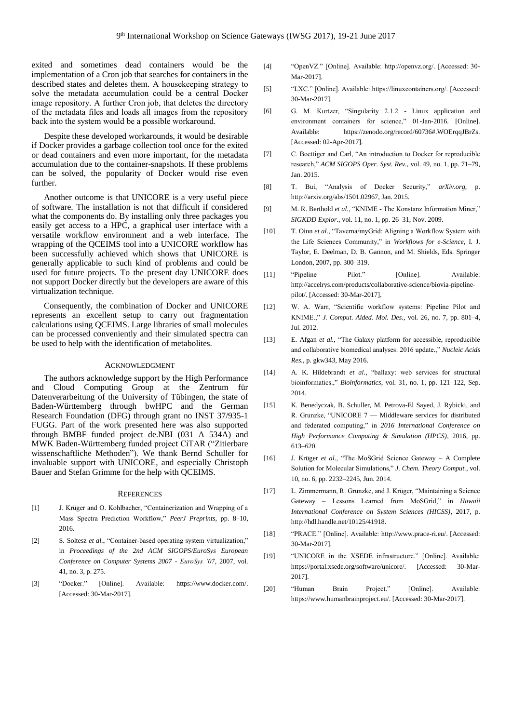exited and sometimes dead containers would be the implementation of a Cron job that searches for containers in the described states and deletes them. A housekeeping strategy to solve the metadata accumulation could be a central Docker image repository. A further Cron job, that deletes the directory of the metadata files and loads all images from the repository back into the system would be a possible workaround.

Despite these developed workarounds, it would be desirable if Docker provides a garbage collection tool once for the exited or dead containers and even more important, for the metadata accumulation due to the container-snapshots. If these problems can be solved, the popularity of Docker would rise even further.

Another outcome is that UNICORE is a very useful piece of software. The installation is not that difficult if considered what the components do. By installing only three packages you easily get access to a HPC, a graphical user interface with a versatile workflow environment and a web interface. The wrapping of the QCEIMS tool into a UNICORE workflow has been successfully achieved which shows that UNICORE is generally applicable to such kind of problems and could be used for future projects. To the present day UNICORE does not support Docker directly but the developers are aware of this virtualization technique.

Consequently, the combination of Docker and UNICORE represents an excellent setup to carry out fragmentation calculations using QCEIMS. Large libraries of small molecules can be processed conveniently and their simulated spectra can be used to help with the identification of metabolites.

# ACKNOWLEDGMENT

The authors acknowledge support by the High Performance and Cloud Computing Group at the Zentrum für Datenverarbeitung of the University of Tübingen, the state of Baden-Württemberg through bwHPC and the German Research Foundation (DFG) through grant no INST 37/935-1 FUGG. Part of the work presented here was also supported through BMBF funded project de.NBI (031 A 534A) and MWK Baden-Württemberg funded project CiTAR ("Zitierbare wissenschaftliche Methoden"). We thank Bernd Schuller for invaluable support with UNICORE, and especially Christoph Bauer and Stefan Grimme for the help with QCEIMS.

#### **REFERENCES**

- [1] J. Krüger and O. Kohlbacher, "Containerization and Wrapping of a Mass Spectra Prediction Workflow," *PeerJ Preprints*, pp. 8–10, 2016.
- [2] S. Soltesz *et al.*, "Container-based operating system virtualization," in *Proceedings of the 2nd ACM SIGOPS/EuroSys European Conference on Computer Systems 2007 - EuroSys '07*, 2007, vol. 41, no. 3, p. 275.
- [3] "Docker." [Online]. Available: https://www.docker.com/. [Accessed: 30-Mar-2017].
- [4] "OpenVZ." [Online]. Available: http://openvz.org/. [Accessed: 30- Mar-2017].
- [5] "LXC." [Online]. Available: https://linuxcontainers.org/. [Accessed: 30-Mar-2017].
- [6] G. M. Kurtzer, "Singularity 2.1.2 Linux application and environment containers for science," 01-Jan-2016. [Online]. Available: https://zenodo.org/record/60736#.WOErqqJBrZs. [Accessed: 02-Apr-2017].
- [7] C. Boettiger and Carl, "An introduction to Docker for reproducible research," *ACM SIGOPS Oper. Syst. Rev.*, vol. 49, no. 1, pp. 71–79, Jan. 2015.
- [8] T. Bui, "Analysis of Docker Security," *arXiv.org*, p. http://arxiv.org/abs/1501.02967, Jan. 2015.
- [9] M. R. Berthold *et al.*, "KNIME The Konstanz Information Miner," *SIGKDD Explor.*, vol. 11, no. 1, pp. 26–31, Nov. 2009.
- [10] T. Oinn *et al.*, "Taverna/myGrid: Aligning a Workflow System with the Life Sciences Community," in *Workflows for e-Science*, I. J. Taylor, E. Deelman, D. B. Gannon, and M. Shields, Eds. Springer London, 2007, pp. 300–319.
- [11] "Pipeline Pilot." [Online]. Available: http://accelrys.com/products/collaborative-science/biovia-pipelinepilot/. [Accessed: 30-Mar-2017].
- [12] W. A. Warr, "Scientific workflow systems: Pipeline Pilot and KNIME.," *J. Comput. Aided. Mol. Des.*, vol. 26, no. 7, pp. 801–4, Jul. 2012.
- [13] E. Afgan *et al.*, "The Galaxy platform for accessible, reproducible and collaborative biomedical analyses: 2016 update.," *Nucleic Acids Res.*, p. gkw343, May 2016.
- [14] A. K. Hildebrandt *et al.*, "ballaxy: web services for structural bioinformatics.," *Bioinformatics*, vol. 31, no. 1, pp. 121–122, Sep. 2014.
- [15] K. Benedyczak, B. Schuller, M. Petrova-El Sayed, J. Rybicki, and R. Grunzke, "UNICORE 7 — Middleware services for distributed and federated computing," in *2016 International Conference on High Performance Computing & Simulation (HPCS)*, 2016, pp. 613–620.
- [16] J. Krüger *et al.*, "The MoSGrid Science Gateway A Complete Solution for Molecular Simulations," *J. Chem. Theory Comput.*, vol. 10, no. 6, pp. 2232–2245, Jun. 2014.
- [17] L. Zimmermann, R. Grunzke, and J. Krüger, "Maintaining a Science Gateway – Lessons Learned from MoSGrid," in *Hawaii International Conference on System Sciences (HICSS)*, 2017, p. http://hdl.handle.net/10125/41918.
- [18] "PRACE." [Online]. Available: http://www.prace-ri.eu/. [Accessed: 30-Mar-2017].
- [19] "UNICORE in the XSEDE infrastructure." [Online]. Available: https://portal.xsede.org/software/unicore/. [Accessed: 30-Mar-2017].
- [20] "Human Brain Project." [Online]. Available: https://www.humanbrainproject.eu/. [Accessed: 30-Mar-2017].